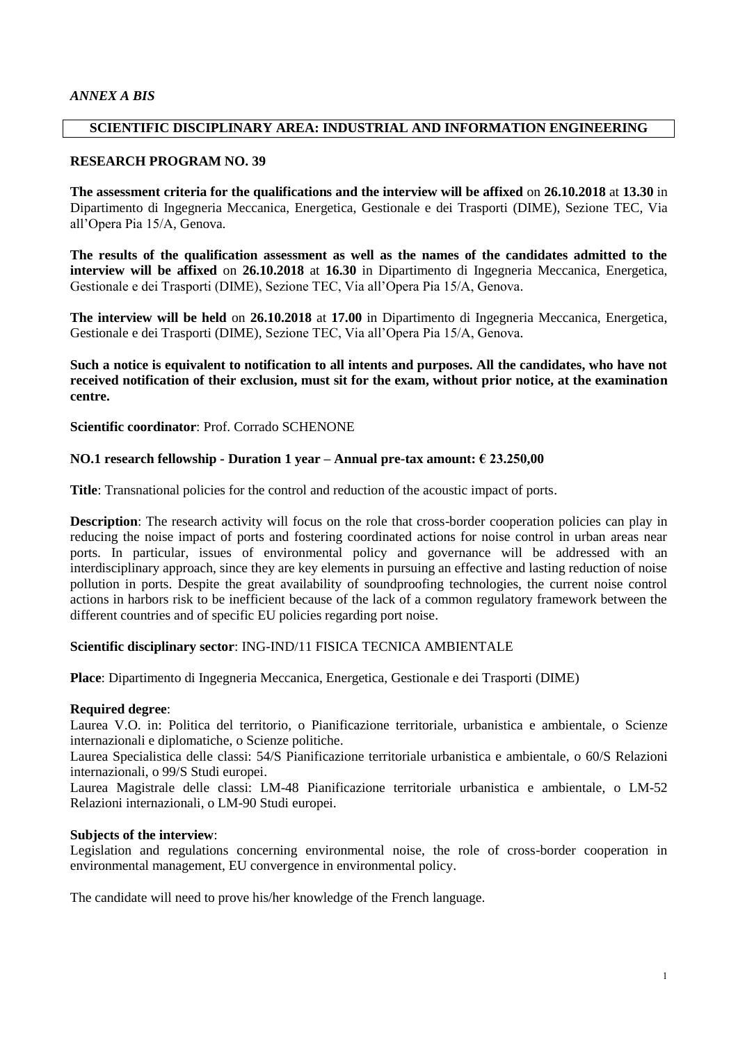## **SCIENTIFIC DISCIPLINARY AREA: INDUSTRIAL AND INFORMATION ENGINEERING**

### **RESEARCH PROGRAM NO. 39**

**The assessment criteria for the qualifications and the interview will be affixed** on **26.10.2018** at **13.30** in Dipartimento di Ingegneria Meccanica, Energetica, Gestionale e dei Trasporti (DIME), Sezione TEC, Via all'Opera Pia 15/A, Genova.

**The results of the qualification assessment as well as the names of the candidates admitted to the interview will be affixed** on **26.10.2018** at **16.30** in Dipartimento di Ingegneria Meccanica, Energetica, Gestionale e dei Trasporti (DIME), Sezione TEC, Via all'Opera Pia 15/A, Genova.

**The interview will be held** on **26.10.2018** at **17.00** in Dipartimento di Ingegneria Meccanica, Energetica, Gestionale e dei Trasporti (DIME), Sezione TEC, Via all'Opera Pia 15/A, Genova.

**Such a notice is equivalent to notification to all intents and purposes. All the candidates, who have not received notification of their exclusion, must sit for the exam, without prior notice, at the examination centre.**

**Scientific coordinator**: Prof. Corrado SCHENONE

### **NO.1 research fellowship - Duration 1 year – Annual pre-tax amount: € 23.250,00**

**Title**: Transnational policies for the control and reduction of the acoustic impact of ports.

**Description**: The research activity will focus on the role that cross-border cooperation policies can play in reducing the noise impact of ports and fostering coordinated actions for noise control in urban areas near ports. In particular, issues of environmental policy and governance will be addressed with an interdisciplinary approach, since they are key elements in pursuing an effective and lasting reduction of noise pollution in ports. Despite the great availability of soundproofing technologies, the current noise control actions in harbors risk to be inefficient because of the lack of a common regulatory framework between the different countries and of specific EU policies regarding port noise.

## **Scientific disciplinary sector**: ING-IND/11 FISICA TECNICA AMBIENTALE

**Place**: Dipartimento di Ingegneria Meccanica, Energetica, Gestionale e dei Trasporti (DIME)

#### **Required degree**:

Laurea V.O. in: Politica del territorio, o Pianificazione territoriale, urbanistica e ambientale, o Scienze internazionali e diplomatiche, o Scienze politiche.

Laurea Specialistica delle classi: 54/S Pianificazione territoriale urbanistica e ambientale, o 60/S Relazioni internazionali, o 99/S Studi europei.

Laurea Magistrale delle classi: LM-48 Pianificazione territoriale urbanistica e ambientale, o LM-52 Relazioni internazionali, o LM-90 Studi europei.

#### **Subjects of the interview**:

Legislation and regulations concerning environmental noise, the role of cross-border cooperation in environmental management, EU convergence in environmental policy.

The candidate will need to prove his/her knowledge of the French language.